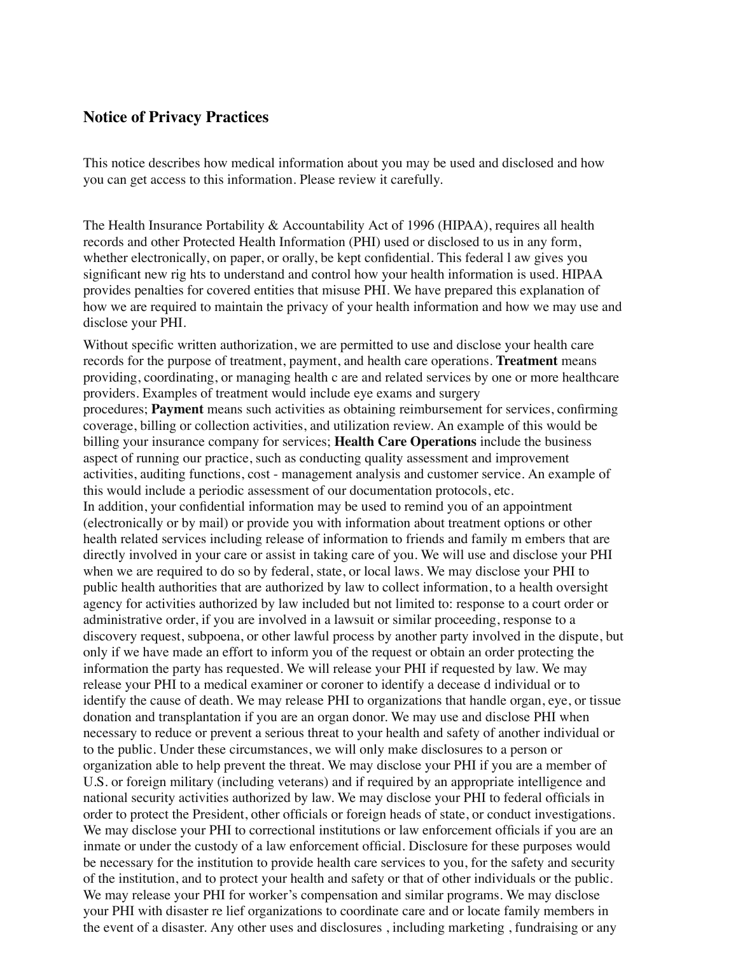## **Notice of Privacy Practices**

This notice describes how medical information about you may be used and disclosed and how you can get access to this information. Please review it carefully.

The Health Insurance Portability & Accountability Act of 1996 (HIPAA), requires all health records and other Protected Health Information (PHI) used or disclosed to us in any form, whether electronically, on paper, or orally, be kept confidential. This federal l aw gives you significant new rig hts to understand and control how your health information is used. HIPAA provides penalties for covered entities that misuse PHI. We have prepared this explanation of how we are required to maintain the privacy of your health information and how we may use and disclose your PHI.

Without specific written authorization, we are permitted to use and disclose your health care records for the purpose of treatment, payment, and health care operations. **Treatment** means providing, coordinating, or managing health c are and related services by one or more healthcare providers. Examples of treatment would include eye exams and surgery procedures; **Payment** means such activities as obtaining reimbursement for services, confirming coverage, billing or collection activities, and utilization review. An example of this would be billing your insurance company for services; **Health Care Operations** include the business aspect of running our practice, such as conducting quality assessment and improvement activities, auditing functions, cost - management analysis and customer service. An example of this would include a periodic assessment of our documentation protocols, etc. In addition, your confidential information may be used to remind you of an appointment (electronically or by mail) or provide you with information about treatment options or other health related services including release of information to friends and family m embers that are directly involved in your care or assist in taking care of you. We will use and disclose your PHI when we are required to do so by federal, state, or local laws. We may disclose your PHI to public health authorities that are authorized by law to collect information, to a health oversight agency for activities authorized by law included but not limited to: response to a court order or administrative order, if you are involved in a lawsuit or similar proceeding, response to a discovery request, subpoena, or other lawful process by another party involved in the dispute, but only if we have made an effort to inform you of the request or obtain an order protecting the information the party has requested. We will release your PHI if requested by law. We may release your PHI to a medical examiner or coroner to identify a decease d individual or to identify the cause of death. We may release PHI to organizations that handle organ, eye, or tissue donation and transplantation if you are an organ donor. We may use and disclose PHI when necessary to reduce or prevent a serious threat to your health and safety of another individual or to the public. Under these circumstances, we will only make disclosures to a person or organization able to help prevent the threat. We may disclose your PHI if you are a member of U.S. or foreign military (including veterans) and if required by an appropriate intelligence and national security activities authorized by law. We may disclose your PHI to federal officials in order to protect the President, other officials or foreign heads of state, or conduct investigations. We may disclose your PHI to correctional institutions or law enforcement officials if you are an inmate or under the custody of a law enforcement official. Disclosure for these purposes would be necessary for the institution to provide health care services to you, for the safety and security of the institution, and to protect your health and safety or that of other individuals or the public. We may release your PHI for worker's compensation and similar programs. We may disclose your PHI with disaster re lief organizations to coordinate care and or locate family members in the event of a disaster. Any other uses and disclosures , including marketing , fundraising or any